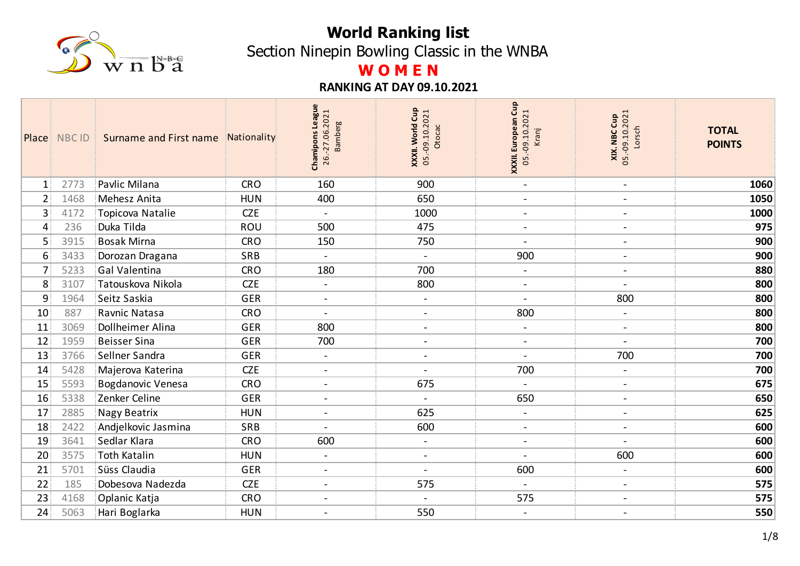

Section Ninepin Bowling Classic in the WNBA

# **W O M E N**

|                 | Place NBC ID | Surname and First name Nationality<br>31 |            | Chamipons League<br>26.-27.06.2021<br><b>Bamberg</b> | XXXII. World Cup<br>05.-09.10.2021<br>Otocac | XXXII. European Cup<br>05.-09.10.2021<br>Kranj | <b>XIX. NBC Cup</b><br>05.-09.10.2021<br>Lorsch | <b>TOTAL</b><br><b>POINTS</b> |
|-----------------|--------------|------------------------------------------|------------|------------------------------------------------------|----------------------------------------------|------------------------------------------------|-------------------------------------------------|-------------------------------|
| $\mathbf{1}$    | 2773         | Pavlic Milana                            | <b>CRO</b> | 160                                                  | 900                                          | $\blacksquare$                                 | $\blacksquare$                                  | 1060                          |
| 2 <sup>1</sup>  | 1468         | Mehesz Anita                             | <b>HUN</b> | 400                                                  | 650                                          | $\overline{\phantom{a}}$                       | $\blacksquare$                                  | 1050                          |
| 3 <sup>1</sup>  | 4172         | Topicova Natalie                         | <b>CZE</b> | $\blacksquare$                                       | 1000                                         | $\blacksquare$                                 | $\overline{\phantom{a}}$                        | 1000                          |
| 4               | 236          | Duka Tilda                               | ROU        | 500                                                  | 475                                          | $\overline{\phantom{a}}$                       |                                                 | 975                           |
| 5               | 3915         | <b>Bosak Mirna</b>                       | <b>CRO</b> | 150                                                  | 750                                          | $\blacksquare$                                 | $\blacksquare$                                  | 900                           |
| 6               | 3433         | Dorozan Dragana                          | SRB        | $\blacksquare$                                       | $\overline{\phantom{a}}$                     | 900                                            | $\blacksquare$                                  | 900                           |
| 7 <sup>1</sup>  | 5233         | <b>Gal Valentina</b>                     | <b>CRO</b> | 180                                                  | 700                                          | $\blacksquare$                                 | $\blacksquare$                                  | 880                           |
| 8               | 3107         | Tatouskova Nikola                        | <b>CZE</b> | $\overline{a}$                                       | 800                                          | $\overline{\phantom{a}}$                       |                                                 | 800                           |
| 9               | 1964         | Seitz Saskia                             | <b>GER</b> | $\blacksquare$                                       | $\blacksquare$                               | $\blacksquare$                                 | 800                                             | 800                           |
| 10              | 887          | Ravnic Natasa                            | <b>CRO</b> | $\overline{a}$                                       | $\overline{\phantom{a}}$                     | 800                                            |                                                 | 800                           |
| 11              | 3069         | Dollheimer Alina                         | <b>GER</b> | 800                                                  | $\blacksquare$                               | $\blacksquare$                                 | $\overline{\phantom{a}}$                        | 800                           |
| 12              | 1959         | <b>Beisser Sina</b>                      | GER        | 700                                                  | $\blacksquare$                               | $\overline{\phantom{a}}$                       |                                                 | 700                           |
| 13              | 3766         | Sellner Sandra                           | <b>GER</b> | $\sim$                                               | $\overline{\phantom{a}}$                     | $\blacksquare$                                 | 700                                             | 700                           |
| 14              | 5428         | Majerova Katerina                        | <b>CZE</b> | $\blacksquare$                                       |                                              | 700                                            |                                                 | 700                           |
| 15              | 5593         | <b>Bogdanovic Venesa</b>                 | <b>CRO</b> | $\overline{\phantom{a}}$                             | 675                                          | $\blacksquare$                                 | $\overline{\phantom{a}}$                        | 675                           |
| 16              | 5338         | Zenker Celine                            | <b>GER</b> | $\blacksquare$                                       |                                              | 650                                            | $\overline{\phantom{a}}$                        | 650                           |
| 17              | 2885         | Nagy Beatrix                             | <b>HUN</b> | $\overline{\phantom{a}}$                             | 625                                          | $\overline{\phantom{a}}$                       | $\blacksquare$                                  | 625                           |
| 18              | 2422         | Andjelkovic Jasmina                      | SRB        | $\overline{a}$                                       | 600                                          | $\blacksquare$                                 | $\blacksquare$                                  | 600                           |
| 19              | 3641         | Sedlar Klara                             | <b>CRO</b> | 600                                                  | $\blacksquare$                               | $\overline{\phantom{0}}$                       |                                                 | 600                           |
| 20              | 3575         | Toth Katalin                             | <b>HUN</b> | $\blacksquare$                                       | $\blacksquare$                               | $\blacksquare$                                 | 600                                             | 600                           |
| 21              | 5701         | Süss Claudia                             | <b>GER</b> | $\blacksquare$                                       |                                              | 600                                            | $\blacksquare$                                  | 600                           |
| 22 <sub>1</sub> | 185          | Dobesova Nadezda                         | <b>CZE</b> | $\blacksquare$                                       | 575                                          | $\blacksquare$                                 | $\blacksquare$                                  | 575                           |
| 23              | 4168         | Oplanic Katja                            | <b>CRO</b> | $\overline{a}$                                       |                                              | 575                                            | $\blacksquare$                                  | 575                           |
| 24 <sub>1</sub> | 5063         | Hari Boglarka                            | <b>HUN</b> | $\overline{\phantom{a}}$                             | 550                                          | $\overline{\phantom{a}}$                       | $\blacksquare$                                  | 550                           |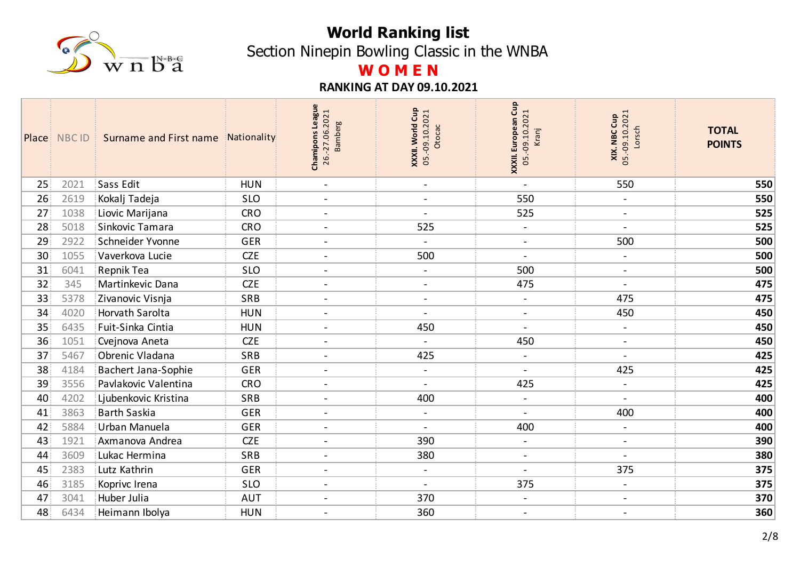

Section Ninepin Bowling Classic in the WNBA

## **W O M E N**

|                 | Place NBC ID | Surname and First name Nationality<br>÷. |            | Chamipons League<br>26.-27.06.2021<br><b>Bamberg</b> | <b>XXXII. World Cup</b><br>05.-09.10.2021<br>Otocac | XXXII. European Cup<br>05.-09.10.2021<br>Kranj | <b>XIX. NBC Cup</b><br>05.-09.10.2021<br>Lorsch | <b>TOTAL</b><br><b>POINTS</b> |
|-----------------|--------------|------------------------------------------|------------|------------------------------------------------------|-----------------------------------------------------|------------------------------------------------|-------------------------------------------------|-------------------------------|
| 25              | 2021         | Sass Edit                                | <b>HUN</b> | $\blacksquare$                                       | $\blacksquare$                                      | $\blacksquare$                                 | 550                                             | 550                           |
| 26              | 2619         | Kokalj Tadeja                            | <b>SLO</b> | $\blacksquare$                                       | $\blacksquare$                                      | 550                                            | $\blacksquare$                                  | 550                           |
| 27              | 1038         | Liovic Marijana                          | <b>CRO</b> | $\blacksquare$                                       | $\blacksquare$                                      | 525                                            | $\blacksquare$                                  | 525                           |
| 28              | 5018         | Sinkovic Tamara                          | <b>CRO</b> | $\overline{a}$                                       | 525                                                 | $\blacksquare$                                 | $\blacksquare$                                  | 525                           |
| 29              | 2922         | Schneider Yvonne                         | <b>GER</b> | $\blacksquare$                                       | $\blacksquare$                                      | $\blacksquare$                                 | 500                                             | 500                           |
| 30              | 1055         | Vaverkova Lucie                          | <b>CZE</b> | $\blacksquare$                                       | 500                                                 | $\overline{\phantom{0}}$                       |                                                 | 500                           |
| 31              | 6041         | <b>Repnik Tea</b>                        | <b>SLO</b> | $\blacksquare$                                       | $\overline{\phantom{a}}$                            | 500                                            | $\blacksquare$                                  | 500                           |
| 32              | 345          | Martinkevic Dana                         | <b>CZE</b> | $\frac{1}{2}$                                        | $\blacksquare$                                      | 475                                            |                                                 | 475                           |
| 33              | 5378         | Zivanovic Visnja                         | SRB        | $\blacksquare$                                       | $\overline{\phantom{a}}$                            | $\blacksquare$                                 | 475                                             | 475                           |
| 34              | 4020         | <b>Horvath Sarolta</b>                   | <b>HUN</b> | $\overline{a}$                                       |                                                     | $\overline{\phantom{a}}$                       | 450                                             | 450                           |
| 35              | 6435         | Fuit-Sinka Cintia                        | <b>HUN</b> | $\blacksquare$                                       | 450                                                 | $\overline{\phantom{a}}$                       | $\overline{\phantom{a}}$                        | 450                           |
| 36              | 1051         | Cvejnova Aneta                           | <b>CZE</b> | $\overline{a}$                                       |                                                     | 450                                            | $\blacksquare$                                  | 450                           |
| 37 <sup>2</sup> | 5467         | Obrenic Vladana                          | SRB        | $\overline{\phantom{a}}$                             | 425                                                 | $\blacksquare$                                 | $\blacksquare$                                  | 425                           |
| 38              | 4184         | <b>Bachert Jana-Sophie</b>               | <b>GER</b> | $\blacksquare$                                       | $\overline{\phantom{a}}$                            | $\overline{a}$                                 | 425                                             | 425                           |
| 39              | 3556         | Pavlakovic Valentina                     | <b>CRO</b> | $\overline{a}$                                       | $\blacksquare$                                      | 425                                            | $\blacksquare$                                  | 425                           |
| 40              | 4202         | Ljubenkovic Kristina                     | SRB        | $\blacksquare$                                       | 400                                                 | $\blacksquare$                                 | $\overline{\phantom{a}}$                        | 400                           |
| 41              | 3863         | <b>Barth Saskia</b>                      | <b>GER</b> | $\blacksquare$                                       | $\blacksquare$                                      | $\blacksquare$                                 | 400                                             | 400                           |
| 42              | 5884         | Urban Manuela                            | <b>GER</b> | $\blacksquare$                                       | $\overline{\phantom{a}}$                            | 400                                            | $\blacksquare$                                  | 400                           |
| 43              | 1921         | Axmanova Andrea                          | <b>CZE</b> | $\blacksquare$                                       | 390                                                 | $\blacksquare$                                 | $\blacksquare$                                  | 390                           |
| 44              | 3609         | Lukac Hermina                            | SRB        | $\blacksquare$                                       | 380                                                 | $\blacksquare$                                 | $\blacksquare$                                  | 380                           |
| 45              | 2383         | Lutz Kathrin                             | <b>GER</b> | $\overline{a}$                                       | $\blacksquare$                                      | $\overline{a}$                                 | 375                                             | 375                           |
| 46              | 3185         | Koprivc Irena                            | <b>SLO</b> | $\blacksquare$                                       | $\blacksquare$                                      | 375                                            | $\blacksquare$                                  | 375                           |
| 47              | 3041         | Huber Julia                              | <b>AUT</b> | $\overline{a}$                                       | 370                                                 | $\overline{\phantom{a}}$                       | $\blacksquare$                                  | 370                           |
| 48              | 6434         | Heimann Ibolya                           | <b>HUN</b> | $\overline{\phantom{a}}$                             | 360                                                 | $\overline{\phantom{a}}$                       |                                                 | 360                           |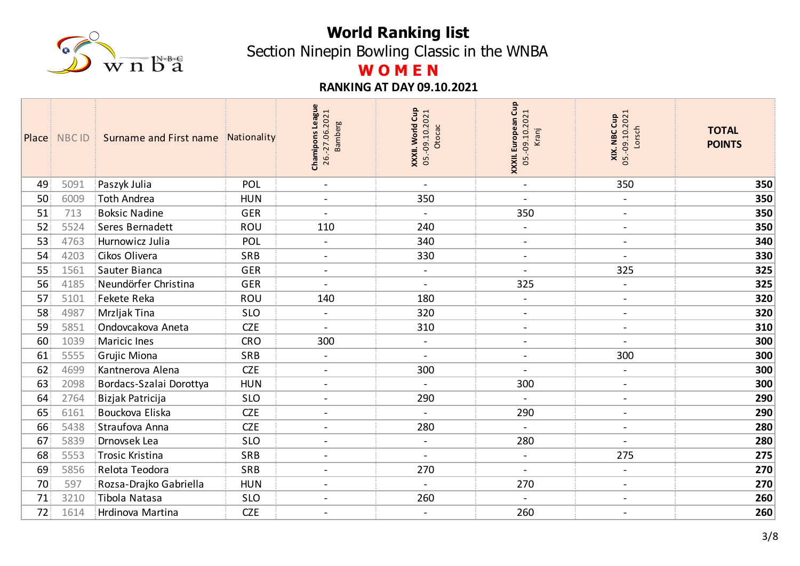

Section Ninepin Bowling Classic in the WNBA

# **W O M E N**

|    | Place NBC ID | Surname and First name Nationality<br>З. |            | <b>League</b><br>26.-27.06.2021<br><b>Bamberg</b><br>Chamipons | XXXII. World Cup<br>05.-09.10.2021<br>Otocac | Cup<br>05.-09.10.2021<br>XXXII. European<br>Kranj | 05.-09.10.2021<br>XIX. NBC Cup<br>Lorsch | <b>TOTAL</b><br><b>POINTS</b> |
|----|--------------|------------------------------------------|------------|----------------------------------------------------------------|----------------------------------------------|---------------------------------------------------|------------------------------------------|-------------------------------|
| 49 | 5091         | Paszyk Julia                             | POL        | $\blacksquare$                                                 | $\blacksquare$                               | $\blacksquare$                                    | 350                                      | 350                           |
| 50 | 6009         | Toth Andrea                              | <b>HUN</b> | $\overline{\phantom{a}}$                                       | 350                                          | $\overline{\phantom{a}}$                          | $\overline{\phantom{a}}$                 | 350                           |
| 51 | 713          | <b>Boksic Nadine</b>                     | <b>GER</b> | $\overline{a}$                                                 | $\blacksquare$                               | 350                                               | $\blacksquare$                           | 350                           |
| 52 | 5524         | Seres Bernadett                          | ROU        | 110                                                            | 240                                          | $\overline{\phantom{a}}$                          | $\blacksquare$                           | 350                           |
| 53 | 4763         | Hurnowicz Julia                          | POL        | $\blacksquare$                                                 | 340                                          | $\blacksquare$                                    | $\blacksquare$                           | 340                           |
| 54 | 4203         | Cikos Olivera                            | SRB        | $\overline{\phantom{a}}$                                       | 330                                          | $\blacksquare$                                    |                                          | 330                           |
| 55 | 1561         | Sauter Bianca                            | <b>GER</b> | $\blacksquare$                                                 | $\blacksquare$                               | $\blacksquare$                                    | 325                                      | 325                           |
| 56 | 4185         | Neundörfer Christina                     | GER        |                                                                | $\overline{\phantom{a}}$                     | 325                                               |                                          | 325                           |
| 57 | 5101         | Fekete Reka                              | ROU        | 140                                                            | 180                                          | $\blacksquare$                                    | $\overline{\phantom{0}}$                 | 320                           |
| 58 | 4987         | Mrzljak Tina                             | <b>SLO</b> | $\qquad \qquad \blacksquare$                                   | 320                                          | $\overline{\phantom{a}}$                          | $\overline{\phantom{a}}$                 | 320                           |
| 59 | 5851         | Ondovcakova Aneta                        | <b>CZE</b> | $\blacksquare$                                                 | 310                                          | $\overline{\phantom{a}}$                          | $\blacksquare$                           | 310                           |
| 60 | 1039         | Maricic Ines                             | <b>CRO</b> | 300                                                            | $\blacksquare$                               | $\blacksquare$                                    |                                          | 300                           |
| 61 | 5555         | Grujic Miona                             | SRB        | $\overline{\phantom{a}}$                                       | $\blacksquare$                               | $\overline{\phantom{a}}$                          | 300                                      | 300                           |
| 62 | 4699         | Kantnerova Alena                         | <b>CZE</b> | $\blacksquare$                                                 | 300                                          | $\overline{\phantom{a}}$                          | $\overline{\phantom{a}}$                 | 300                           |
| 63 | 2098         | Bordacs-Szalai Dorottya                  | <b>HUN</b> | $\overline{\phantom{a}}$                                       | $\blacksquare$                               | 300                                               | $\overline{\phantom{a}}$                 | 300                           |
| 64 | 2764         | Bizjak Patricija                         | <b>SLO</b> | $\overline{\phantom{a}}$                                       | 290                                          |                                                   | $\overline{\phantom{a}}$                 | 290                           |
| 65 | 6161         | Bouckova Eliska                          | <b>CZE</b> | $\overline{\phantom{a}}$                                       | $\overline{a}$                               | 290                                               | $\qquad \qquad -$                        | 290                           |
| 66 | 5438         | Straufova Anna                           | <b>CZE</b> | $\sim$                                                         | 280                                          | $\blacksquare$                                    | $\overline{\phantom{a}}$                 | 280                           |
| 67 | 5839         | Drnovsek Lea                             | <b>SLO</b> | $\overline{\phantom{a}}$                                       | $\blacksquare$                               | 280                                               | $\overline{\phantom{a}}$                 | 280                           |
| 68 | 5553         | Trosic Kristina                          | SRB        | $\blacksquare$                                                 | $\overline{a}$                               | $\blacksquare$                                    | 275                                      | 275                           |
| 69 | 5856         | Relota Teodora                           | SRB        | $\overline{\phantom{a}}$                                       | 270                                          | $\blacksquare$                                    | $\overline{\phantom{a}}$                 | 270                           |
| 70 | 597          | Rozsa-Drajko Gabriella                   | <b>HUN</b> | $\blacksquare$                                                 | $\blacksquare$                               | 270                                               | $\overline{\phantom{a}}$                 | 270                           |
| 71 | 3210         | Tibola Natasa                            | <b>SLO</b> | $\overline{\phantom{a}}$                                       | 260                                          | $\blacksquare$                                    | $\blacksquare$                           | 260                           |
| 72 | 1614         | Hrdinova Martina                         | <b>CZE</b> | $\blacksquare$                                                 | $\blacksquare$                               | 260                                               | $\overline{a}$                           | 260                           |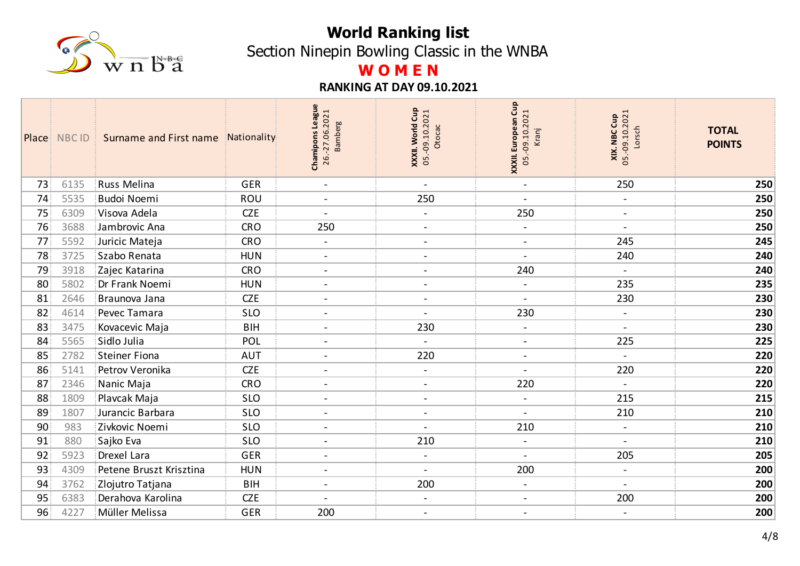

Section Ninepin Bowling Classic in the WNBA

# **W O M E N**

|    | Place NBC ID | Surname and First name Nationality<br>3. |            | <b>League</b><br>26.-27.06.2021<br><b>Bamberg</b><br>Chamipons | XXXII. World Cup<br>05.-09.10.2021<br>Otocac | Cup<br>05.-09.10.2021<br>XXXII. European<br>Kranj | 05.-09.10.2021<br>XIX. NBC Cup<br>Lorsch | <b>TOTAL</b><br><b>POINTS</b> |
|----|--------------|------------------------------------------|------------|----------------------------------------------------------------|----------------------------------------------|---------------------------------------------------|------------------------------------------|-------------------------------|
| 73 | 6135         | <b>Russ Melina</b>                       | <b>GER</b> | $\blacksquare$                                                 | $\blacksquare$                               | $\overline{\phantom{a}}$                          | 250                                      | 250                           |
| 74 | 5535         | <b>Budoi Noemi</b>                       | ROU        | $\overline{\phantom{a}}$                                       | 250                                          | $\overline{\phantom{a}}$                          | $\qquad \qquad \blacksquare$             | 250                           |
| 75 | 6309         | Visova Adela                             | <b>CZE</b> | $\blacksquare$                                                 | $\blacksquare$                               | 250                                               | $\blacksquare$                           | 250                           |
| 76 | 3688         | Jambrovic Ana                            | <b>CRO</b> | 250                                                            | $\blacksquare$                               | $\overline{a}$                                    | $\overline{\phantom{0}}$                 | 250                           |
| 77 | 5592         | Juricic Mateja                           | <b>CRO</b> | $\blacksquare$                                                 | $\blacksquare$                               | $\blacksquare$                                    | 245                                      | 245                           |
| 78 | 3725         | Szabo Renata                             | <b>HUN</b> | $\overline{\phantom{a}}$                                       | $\blacksquare$                               | $\overline{\phantom{a}}$                          | 240                                      | 240                           |
| 79 | 3918         | Zajec Katarina                           | <b>CRO</b> | $\overline{a}$                                                 | $\blacksquare$                               | 240                                               | $\overline{a}$                           | 240                           |
| 80 | 5802         | Dr Frank Noemi                           | <b>HUN</b> | $\overline{\phantom{a}}$                                       | $\overline{\phantom{a}}$                     | $\qquad \qquad \blacksquare$                      | 235                                      | 235                           |
| 81 | 2646         | Braunova Jana                            | <b>CZE</b> | $\blacksquare$                                                 | $\blacksquare$                               | $\overline{a}$                                    | 230                                      | 230                           |
| 82 | 4614         | Pevec Tamara                             | <b>SLO</b> | $\overline{a}$                                                 |                                              | 230                                               | $\qquad \qquad \blacksquare$             | 230                           |
| 83 | 3475         | Kovacevic Maja                           | <b>BIH</b> | $\blacksquare$                                                 | 230                                          | $\overline{\phantom{a}}$                          | $\blacksquare$                           | 230                           |
| 84 | 5565         | Sidlo Julia                              | POL        | $\overline{\phantom{a}}$                                       |                                              | $\overline{\phantom{a}}$                          | 225                                      | 225                           |
| 85 | 2782         | Steiner Fiona                            | <b>AUT</b> | $\blacksquare$                                                 | 220                                          | $\overline{\phantom{a}}$                          | $\blacksquare$                           | 220                           |
| 86 | 5141         | Petrov Veronika                          | <b>CZE</b> | $\blacksquare$                                                 | $\overline{\phantom{a}}$                     | $\overline{\phantom{a}}$                          | 220                                      | 220                           |
| 87 | 2346         | Nanic Maja                               | <b>CRO</b> | $\overline{\phantom{a}}$                                       | $\blacksquare$                               | 220                                               | $\blacksquare$                           | 220                           |
| 88 | 1809         | Plavcak Maja                             | <b>SLO</b> | $\overline{\phantom{a}}$                                       | $\overline{\phantom{a}}$                     | $\overline{a}$                                    | 215                                      | 215                           |
| 89 | 1807         | Jurancic Barbara                         | <b>SLO</b> | $\blacksquare$                                                 | $\blacksquare$                               |                                                   | 210                                      | 210                           |
| 90 | 983          | Zivkovic Noemi                           | <b>SLO</b> | $\blacksquare$                                                 | $\blacksquare$                               | 210                                               | $\overline{\phantom{a}}$                 | 210                           |
| 91 | 880          | Sajko Eva                                | <b>SLO</b> | $\overline{\phantom{a}}$                                       | 210                                          | $\overline{a}$                                    | $\overline{\phantom{a}}$                 | 210                           |
| 92 | 5923         | Drexel Lara                              | <b>GER</b> | $\blacksquare$                                                 | $\blacksquare$                               | $\overline{a}$                                    | 205                                      | 205                           |
| 93 | 4309         | Petene Bruszt Krisztina                  | <b>HUN</b> | $\blacksquare$                                                 | $\blacksquare$                               | 200                                               | $\overline{\phantom{a}}$                 | 200                           |
| 94 | 3762         | Zlojutro Tatjana                         | <b>BIH</b> | $\blacksquare$                                                 | 200                                          | $\blacksquare$                                    | $\overline{\phantom{0}}$                 | 200                           |
| 95 | 6383         | Derahova Karolina                        | <b>CZE</b> |                                                                | $\blacksquare$                               | $\blacksquare$                                    | 200                                      | 200                           |
| 96 | 4227         | Müller Melissa                           | <b>GER</b> | 200                                                            | $\blacksquare$                               | $\blacksquare$                                    | $\blacksquare$                           | 200                           |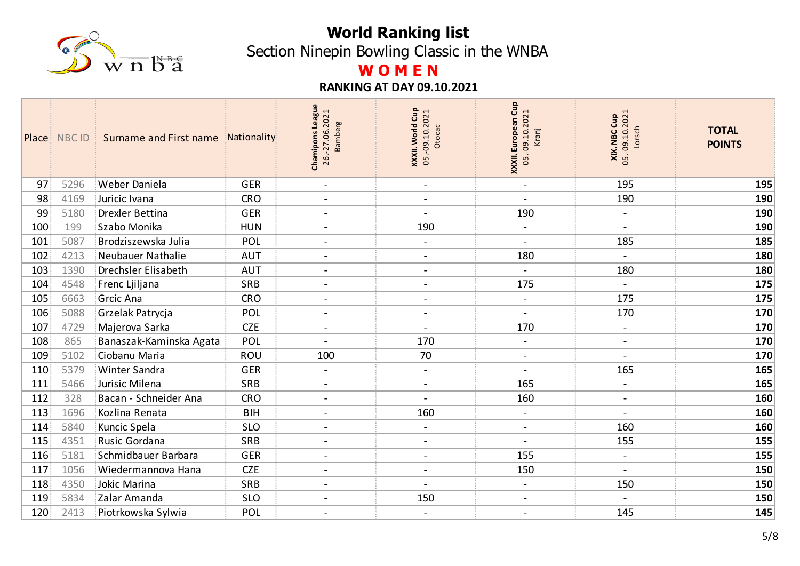

Section Ninepin Bowling Classic in the WNBA

# **W O M E N**

|                  | Place NBC ID | Surname and First name     | Nationality | <b>League</b><br>26.-27.06.2021<br><b>Bamberg</b><br>Chamipons | XXXII. World Cup<br>05.-09.10.2021<br>Otocac | XXXII. European Cup<br>05.-09.10.2021<br>Kranj | <b>XIX. NBC Cup</b><br>05.-09.10.2021<br>Lorsch | <b>TOTAL</b><br><b>POINTS</b> |
|------------------|--------------|----------------------------|-------------|----------------------------------------------------------------|----------------------------------------------|------------------------------------------------|-------------------------------------------------|-------------------------------|
| 97               | 5296         | Weber Daniela              | <b>GER</b>  | $\blacksquare$                                                 | $\blacksquare$                               | $\blacksquare$                                 | 195                                             | 195                           |
| 98               | 4169         | Juricic Ivana              | <b>CRO</b>  | $\overline{\phantom{a}}$                                       | $\overline{\phantom{a}}$                     | $\blacksquare$                                 | 190                                             | 190                           |
| 99               | 5180         | <b>Drexler Bettina</b>     | <b>GER</b>  | $\blacksquare$                                                 | $\blacksquare$                               | 190                                            | $\blacksquare$                                  | 190                           |
| 100 <sub>1</sub> | 199          | Szabo Monika               | <b>HUN</b>  | $\blacksquare$                                                 | 190                                          | $\qquad \qquad \blacksquare$                   |                                                 | 190                           |
| 101              | 5087         | Brodziszewska Julia        | POL         | $\blacksquare$                                                 | $\blacksquare$                               | $\sim$                                         | 185                                             | 185                           |
| 102              | 4213         | Neubauer Nathalie          | <b>AUT</b>  | $\blacksquare$                                                 | $\blacksquare$                               | 180                                            |                                                 | 180                           |
| 103              | 1390         | <b>Drechsler Elisabeth</b> | <b>AUT</b>  | $\blacksquare$                                                 | $\overline{\phantom{a}}$                     | $\blacksquare$                                 | 180                                             | 180                           |
| 104              | 4548         | Frenc Ljiljana             | SRB         | $\blacksquare$                                                 | $\blacksquare$                               | 175                                            |                                                 | 175                           |
| 105              | 6663         | Grcic Ana                  | <b>CRO</b>  | $\blacksquare$                                                 | $\blacksquare$                               | $\blacksquare$                                 | 175                                             | 175                           |
| 106              | 5088         | Grzelak Patrycja           | POL         | $\blacksquare$                                                 | $\blacksquare$                               | $\overline{a}$                                 | 170                                             | 170                           |
| 107              | 4729         | Majerova Sarka             | <b>CZE</b>  | $\blacksquare$                                                 | $\blacksquare$                               | 170                                            | $\qquad \qquad -$                               | 170                           |
| 108              | 865          | Banaszak-Kaminska Agata    | POL         |                                                                | 170                                          | $\blacksquare$                                 | $\overline{\phantom{a}}$                        | 170                           |
| 109              | 5102         | Ciobanu Maria              | <b>ROU</b>  | 100                                                            | 70                                           | $\overline{\phantom{a}}$                       | $\blacksquare$                                  | 170                           |
| 110              | 5379         | Winter Sandra              | <b>GER</b>  | $\blacksquare$                                                 | $\blacksquare$                               | $\overline{\phantom{a}}$                       | 165                                             | 165                           |
| 111              | 5466         | Jurisic Milena             | SRB         | $\overline{a}$                                                 | $\overline{a}$                               | 165                                            | $\blacksquare$                                  | 165                           |
| 112              | 328          | Bacan - Schneider Ana      | <b>CRO</b>  | $\blacksquare$                                                 | $\frac{1}{2}$                                | 160                                            | $\blacksquare$                                  | 160                           |
| 113              | 1696         | Kozlina Renata             | <b>BIH</b>  | $\overline{\phantom{a}}$                                       | 160                                          | $\blacksquare$                                 | $\blacksquare$                                  | 160                           |
| 114              | 5840         | Kuncic Spela               | <b>SLO</b>  | $\blacksquare$                                                 | $\overline{\phantom{a}}$                     | $\overline{\phantom{a}}$                       | 160                                             | 160                           |
| 115              | 4351         | Rusic Gordana              | SRB         | $\overline{\phantom{a}}$                                       | $\overline{\phantom{a}}$                     | $\sim$                                         | 155                                             | 155                           |
| 116              | 5181         | Schmidbauer Barbara        | <b>GER</b>  | $\blacksquare$                                                 | $\blacksquare$                               | 155                                            | $\blacksquare$                                  | 155                           |
| 117              | 1056         | Wiedermannova Hana         | <b>CZE</b>  | $\blacksquare$                                                 | $\blacksquare$                               | 150                                            | $\sim$                                          | 150                           |
| 118              | 4350         | Jokic Marina               | SRB         | $\blacksquare$                                                 | $\blacksquare$                               | $\blacksquare$                                 | 150                                             | 150                           |
| 119              | 5834         | Zalar Amanda               | <b>SLO</b>  | $\overline{a}$                                                 | 150                                          | $\blacksquare$                                 |                                                 | 150                           |
| 120              | 2413         | Piotrkowska Sylwia         | POL         | $\overline{\phantom{a}}$                                       | $\blacksquare$                               | $\blacksquare$                                 | 145                                             | 145                           |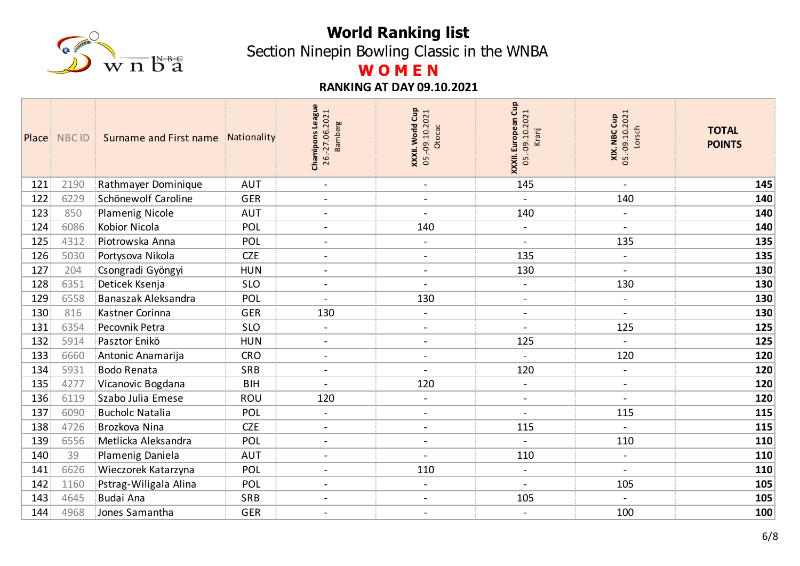

Section Ninepin Bowling Classic in the WNBA

# **W O M E N**

|     | Place NBC ID | Surname and First name | Nationality | <b>League</b><br>26.-27.06.2021<br><b>Bamberg</b><br>Chamipons | XXXII. World Cup<br>05.-09.10.2021<br>Otocac | Gup<br><b>XXXII. European Cup</b><br>05.-09.10.2021<br>Kranj | <b>XIX. NBC Cup</b><br>05.-09.10.2021<br>Lorsch | <b>TOTAL</b><br><b>POINTS</b> |
|-----|--------------|------------------------|-------------|----------------------------------------------------------------|----------------------------------------------|--------------------------------------------------------------|-------------------------------------------------|-------------------------------|
| 121 | 2190         | Rathmayer Dominique    | <b>AUT</b>  | $\blacksquare$                                                 | $\blacksquare$                               | 145                                                          | $\blacksquare$                                  | 145                           |
| 122 | 6229         | Schönewolf Caroline    | <b>GER</b>  | $\overline{\phantom{a}}$                                       | $\overline{\phantom{a}}$                     |                                                              | 140                                             | 140                           |
| 123 | 850          | Plamenig Nicole        | <b>AUT</b>  | $\blacksquare$                                                 | $\blacksquare$                               | 140                                                          | $\overline{\phantom{a}}$                        | 140                           |
| 124 | 6086         | Kobior Nicola          | POL         | $\blacksquare$                                                 | 140                                          | $\overline{a}$                                               |                                                 | 140                           |
| 125 | 4312         | Piotrowska Anna        | POL         | $\blacksquare$                                                 | $\blacksquare$                               | $\overline{a}$                                               | 135                                             | 135                           |
| 126 | 5030         | Portysova Nikola       | <b>CZE</b>  | $\blacksquare$                                                 | $\overline{\phantom{a}}$                     | 135                                                          |                                                 | 135                           |
| 127 | 204          | Csongradi Gyöngyi      | <b>HUN</b>  | $\blacksquare$                                                 | $\overline{\phantom{a}}$                     | 130                                                          | $\blacksquare$                                  | 130                           |
| 128 | 6351         | Deticek Ksenja         | <b>SLO</b>  | $\sim$                                                         | $\blacksquare$                               | $\overline{a}$                                               | 130                                             | 130                           |
| 129 | 6558         | Banaszak Aleksandra    | POL         | $\sim$                                                         | 130                                          | $\blacksquare$                                               | $\blacksquare$                                  | 130                           |
| 130 | 816          | Kastner Corinna        | <b>GER</b>  | 130                                                            | $\blacksquare$                               | $\blacksquare$                                               |                                                 | 130                           |
| 131 | 6354         | Pecovnik Petra         | <b>SLO</b>  | $\blacksquare$                                                 | $\overline{\phantom{a}}$                     | $\blacksquare$                                               | 125                                             | 125                           |
| 132 | 5914         | Pasztor Enikö          | <b>HUN</b>  | $\overline{\phantom{a}}$                                       | $\overline{\phantom{a}}$                     | 125                                                          |                                                 | 125                           |
| 133 | 6660         | Antonic Anamarija      | <b>CRO</b>  | $\blacksquare$                                                 | $\overline{\phantom{a}}$                     | $\blacksquare$                                               | 120                                             | 120                           |
| 134 | 5931         | <b>Bodo Renata</b>     | SRB         | $\blacksquare$                                                 | $\overline{\phantom{a}}$                     | 120                                                          |                                                 | 120                           |
| 135 | 4277         | Vicanovic Bogdana      | <b>BIH</b>  | $\blacksquare$                                                 | 120                                          | $\blacksquare$                                               | $\blacksquare$                                  | 120                           |
| 136 | 6119         | Szabo Julia Emese      | ROU         | 120                                                            | $\blacksquare$                               | $\blacksquare$                                               | $\overline{\phantom{a}}$                        | 120                           |
| 137 | 6090         | <b>Bucholc Natalia</b> | POL         | $\blacksquare$                                                 | $\overline{\phantom{a}}$                     | $\blacksquare$                                               | 115                                             | 115                           |
| 138 | 4726         | Brozkova Nina          | <b>CZE</b>  | $\blacksquare$                                                 | $\overline{\phantom{a}}$                     | 115                                                          |                                                 | 115                           |
| 139 | 6556         | Metlicka Aleksandra    | POL         | $\blacksquare$                                                 | $\overline{\phantom{a}}$                     | $\blacksquare$                                               | 110                                             | 110                           |
| 140 | 39           | Plamenig Daniela       | <b>AUT</b>  | $\blacksquare$                                                 | $\overline{a}$                               | 110                                                          | $\blacksquare$                                  | 110                           |
| 141 | 6626         | Wieczorek Katarzyna    | POL         | $\blacksquare$                                                 | 110                                          | $\blacksquare$                                               | $\sim$                                          | 110                           |
| 142 | 1160         | Pstrag-Wiligala Alina  | POL         | $\blacksquare$                                                 | $\blacksquare$                               | $\blacksquare$                                               | 105                                             | 105                           |
| 143 | 4645         | Budai Ana              | <b>SRB</b>  | $\overline{a}$                                                 | $\blacksquare$                               | 105                                                          |                                                 | 105                           |
| 144 | 4968         | Jones Samantha         | <b>GER</b>  | $\overline{\phantom{a}}$                                       | $\blacksquare$                               | $\blacksquare$                                               | 100                                             | 100                           |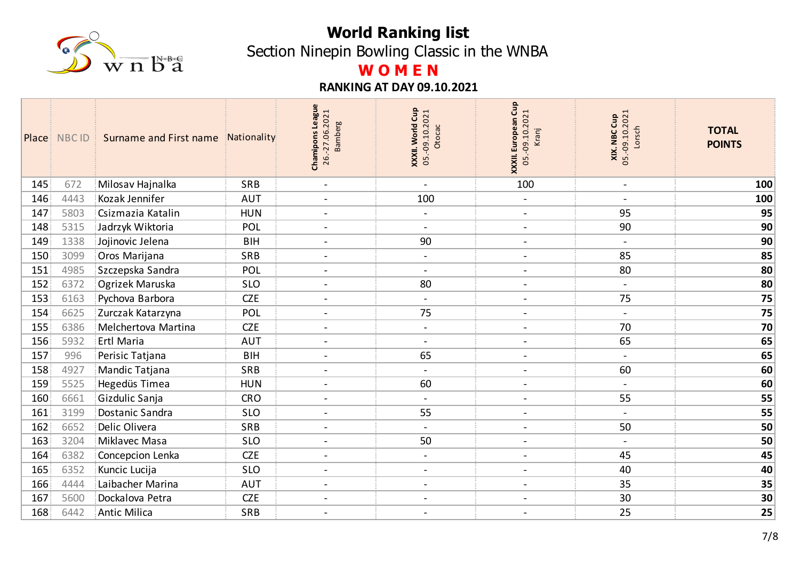

Section Ninepin Bowling Classic in the WNBA

# **W O M E N**

|     | Place NBC ID | Surname and First name | Nationality | <b>League</b><br>26.-27.06.2021<br><b>Bamberg</b><br>Chamipons | XXXII. World Cup<br>05.-09.10.2021<br>Otocac | Cup<br><b>XXXII. European Cup</b><br>05.-09.10.2021<br>Kranj | 05.-09.10.2021<br>XIX. NBC Cup<br>Lorsch | <b>TOTAL</b><br><b>POINTS</b> |
|-----|--------------|------------------------|-------------|----------------------------------------------------------------|----------------------------------------------|--------------------------------------------------------------|------------------------------------------|-------------------------------|
| 145 | 672          | Milosav Hajnalka       | SRB         | $\blacksquare$                                                 | $\blacksquare$                               | 100                                                          | $\overline{\phantom{a}}$                 | 100                           |
| 146 | 4443         | Kozak Jennifer         | <b>AUT</b>  | $\blacksquare$                                                 | 100                                          | $\frac{1}{2}$                                                |                                          | 100                           |
| 147 | 5803         | Csizmazia Katalin      | <b>HUN</b>  | $\blacksquare$                                                 | $\blacksquare$                               | $\blacksquare$                                               | 95                                       | 95                            |
| 148 | 5315         | Jadrzyk Wiktoria       | POL         | $\overline{a}$                                                 | $\blacksquare$                               | $\blacksquare$                                               | 90                                       | 90                            |
| 149 | 1338         | Jojinovic Jelena       | <b>BIH</b>  | $\blacksquare$                                                 | 90                                           | $\blacksquare$                                               | $\overline{\phantom{a}}$                 | 90                            |
| 150 | 3099         | Oros Marijana          | SRB         | $\overline{a}$                                                 | $\overline{\phantom{a}}$                     | $\blacksquare$                                               | 85                                       | 85                            |
| 151 | 4985         | Szczepska Sandra       | POL         | $\blacksquare$                                                 | $\blacksquare$                               | $\blacksquare$                                               | 80                                       | 80                            |
| 152 | 6372         | Ogrizek Maruska        | <b>SLO</b>  | $\overline{\phantom{a}}$                                       | 80                                           | $\overline{\phantom{a}}$                                     |                                          | 80                            |
| 153 | 6163         | Pychova Barbora        | <b>CZE</b>  | $\blacksquare$                                                 | $\blacksquare$                               | $\sim$                                                       | 75                                       | 75                            |
| 154 | 6625         | Zurczak Katarzyna      | POL         | $\overline{\phantom{a}}$                                       | 75                                           | $\qquad \qquad$                                              |                                          | 75                            |
| 155 | 6386         | Melchertova Martina    | <b>CZE</b>  | $\blacksquare$                                                 | $\overline{\phantom{a}}$                     | $\overline{\phantom{a}}$                                     | 70                                       | 70                            |
| 156 | 5932         | Ertl Maria             | <b>AUT</b>  | $\overline{\phantom{a}}$                                       | $\blacksquare$                               | $\overline{\phantom{a}}$                                     | 65                                       | 65                            |
| 157 | 996          | Perisic Tatjana        | <b>BIH</b>  | $\overline{\phantom{a}}$                                       | 65                                           | $\overline{\phantom{a}}$                                     |                                          | 65                            |
| 158 | 4927         | Mandic Tatjana         | <b>SRB</b>  | $\blacksquare$                                                 | $\blacksquare$                               | $\overline{\phantom{a}}$                                     | 60                                       | 60                            |
| 159 | 5525         | Hegedüs Timea          | <b>HUN</b>  | $\blacksquare$                                                 | 60                                           | $\overline{\phantom{a}}$                                     | $\blacksquare$                           | 60                            |
| 160 | 6661         | Gizdulic Sanja         | <b>CRO</b>  | $\blacksquare$                                                 | $\overline{\phantom{a}}$                     | $\qquad \qquad -$                                            | 55                                       | 55                            |
| 161 | 3199         | Dostanic Sandra        | <b>SLO</b>  | $\blacksquare$                                                 | 55                                           | $\blacksquare$                                               | $\overline{a}$                           | 55                            |
| 162 | 6652         | Delic Olivera          | SRB         | $\blacksquare$                                                 | $\blacksquare$                               | $\overline{\phantom{a}}$                                     | 50                                       | 50                            |
| 163 | 3204         | Miklavec Masa          | <b>SLO</b>  | $\blacksquare$                                                 | 50                                           | $\overline{\phantom{a}}$                                     | $\blacksquare$                           | 50                            |
| 164 | 6382         | Concepcion Lenka       | <b>CZE</b>  | $\blacksquare$                                                 | $\blacksquare$                               | $\overline{\phantom{a}}$                                     | 45                                       | 45                            |
| 165 | 6352         | Kuncic Lucija          | <b>SLO</b>  | $\blacksquare$                                                 | $\blacksquare$                               | $\blacksquare$                                               | 40                                       | 40                            |
| 166 | 4444         | Laibacher Marina       | <b>AUT</b>  | $\blacksquare$                                                 | $\blacksquare$                               | $\blacksquare$                                               | 35                                       | 35                            |
| 167 | 5600         | Dockalova Petra        | <b>CZE</b>  | $\overline{a}$                                                 | $\overline{\phantom{a}}$                     | $\overline{a}$                                               | 30                                       | 30                            |
| 168 | 6442         | <b>Antic Milica</b>    | SRB         | $\blacksquare$                                                 | $\overline{\phantom{a}}$                     | $\overline{a}$                                               | 25                                       | 25                            |